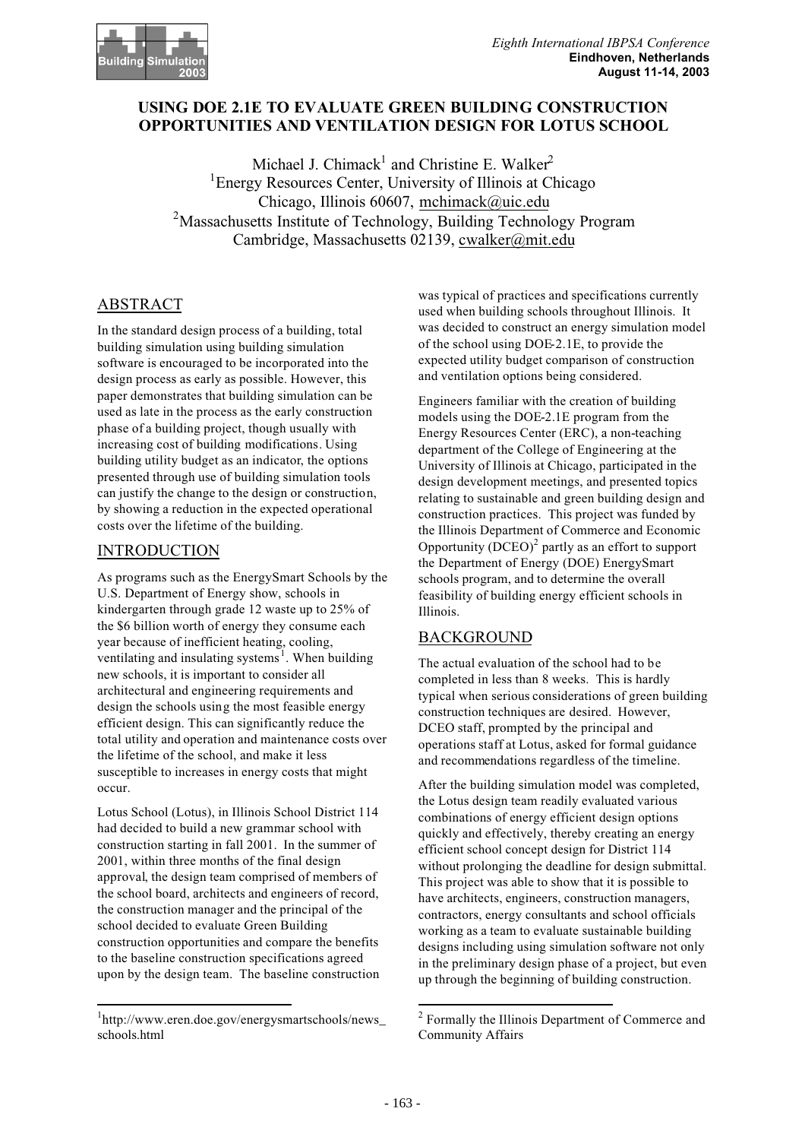### **USING DOE 2.1E TO EVALUATE GREEN BUILDING CONSTRUCTION OPPORTUNITIES AND VENTILATION DESIGN FOR LOTUS SCHOOL**

Michael J. Chimack<sup>1</sup> and Christine E. Walker<sup>2</sup> <sup>1</sup> Energy Resources Center, University of Illinois at Chicago Chicago, Illinois 60607, mchimack@uic.edu <sup>2</sup>Massachusetts Institute of Technology, Building Technology Program Cambridge, Massachusetts 02139, cwalker@mit.edu

## ABSTRACT

In the standard design process of a building, total building simulation using building simulation software is encouraged to be incorporated into the design process as early as possible. However, this paper demonstrates that building simulation can be used as late in the process as the early construction phase of a building project, though usually with increasing cost of building modifications. Using building utility budget as an indicator, the options presented through use of building simulation tools can justify the change to the design or construction, by showing a reduction in the expected operational costs over the lifetime of the building.

## **INTRODUCTION**

As programs such as the EnergySmart Schools by the U.S. Department of Energy show, schools in kindergarten through grade 12 waste up to 25% of the \$6 billion worth of energy they consume each year because of inefficient heating, cooling, ventilating and insulating systems<sup>1</sup>. When building new schools, it is important to consider all architectural and engineering requirements and design the schools using the most feasible energy efficient design. This can significantly reduce the total utility and operation and maintenance costs over the lifetime of the school, and make it less susceptible to increases in energy costs that might occur.

Lotus School (Lotus), in Illinois School District 114 had decided to build a new grammar school with construction starting in fall 2001. In the summer of 2001, within three months of the final design approval, the design team comprised of members of the school board, architects and engineers of record, the construction manager and the principal of the school decided to evaluate Green Building construction opportunities and compare the benefits to the baseline construction specifications agreed upon by the design team. The baseline construction

was typical of practices and specifications currently used when building schools throughout Illinois. It was decided to construct an energy simulation model of the school using DOE-2.1E, to provide the expected utility budget comparison of construction and ventilation options being considered.

Engineers familiar with the creation of building models using the DOE-2.1E program from the Energy Resources Center (ERC), a non-teaching department of the College of Engineering at the University of Illinois at Chicago, participated in the design development meetings, and presented topics relating to sustainable and green building design and construction practices. This project was funded by the Illinois Department of Commerce and Economic Opportunity  $(DCEO)^2$  partly as an effort to support the Department of Energy (DOE) EnergySmart schools program, and to determine the overall feasibility of building energy efficient schools in Illinois.

# BACKGROUND

The actual evaluation of the school had to be completed in less than 8 weeks. This is hardly typical when serious considerations of green building construction techniques are desired. However, DCEO staff, prompted by the principal and operations staff at Lotus, asked for formal guidance and recommendations regardless of the timeline.

After the building simulation model was completed, the Lotus design team readily evaluated various combinations of energy efficient design options quickly and effectively, thereby creating an energy efficient school concept design for District 114 without prolonging the deadline for design submittal. This project was able to show that it is possible to have architects, engineers, construction managers, contractors, energy consultants and school officials working as a team to evaluate sustainable building designs including using simulation software not only in the preliminary design phase of a project, but even up through the beginning of building construction.

<sup>1</sup> http://www.eren.doe.gov/energysmartschools/news\_ schools.html

<sup>&</sup>lt;sup>2</sup> Formally the Illinois Department of Commerce and Community Affairs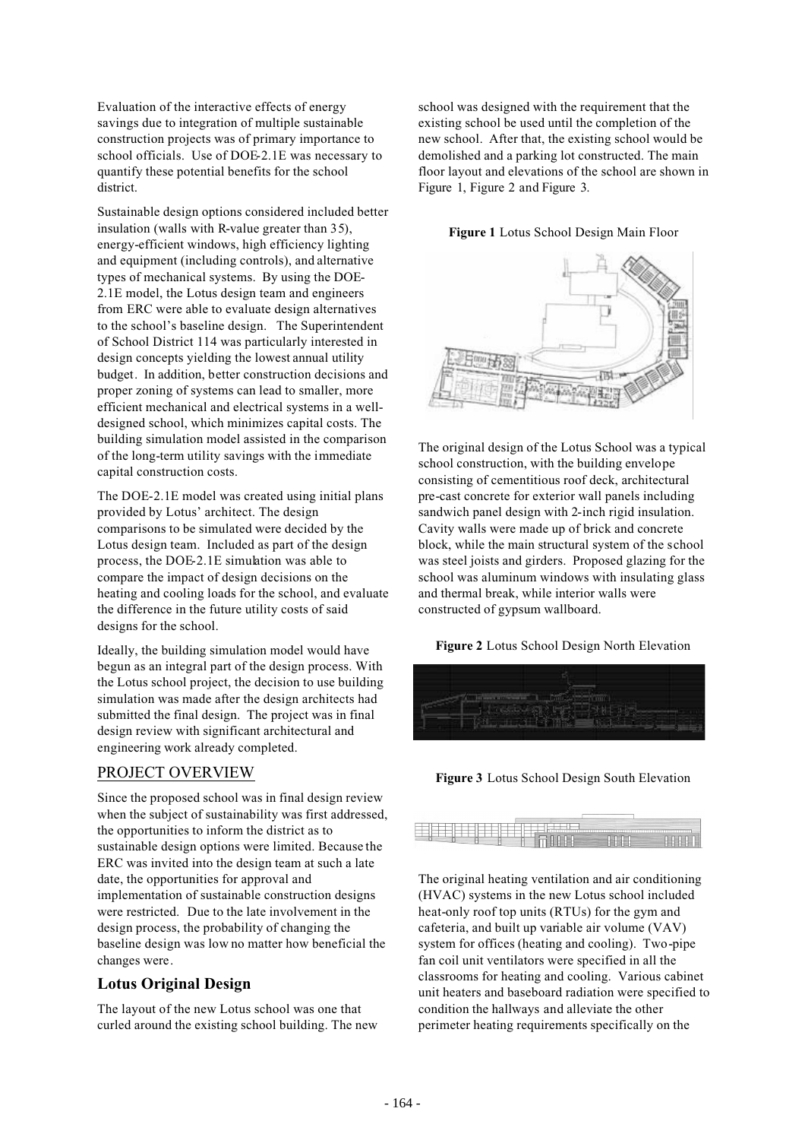Evaluation of the interactive effects of energy savings due to integration of multiple sustainable construction projects was of primary importance to school officials. Use of DOE-2.1E was necessary to quantify these potential benefits for the school district.

Sustainable design options considered included better insulation (walls with R-value greater than 35), energy-efficient windows, high efficiency lighting and equipment (including controls), and alternative types of mechanical systems. By using the DOE-2.1E model, the Lotus design team and engineers from ERC were able to evaluate design alternatives to the school's baseline design. The Superintendent of School District 114 was particularly interested in design concepts yielding the lowest annual utility budget. In addition, better construction decisions and proper zoning of systems can lead to smaller, more efficient mechanical and electrical systems in a welldesigned school, which minimizes capital costs. The building simulation model assisted in the comparison of the long-term utility savings with the immediate capital construction costs.

The DOE-2.1E model was created using initial plans provided by Lotus' architect. The design comparisons to be simulated were decided by the Lotus design team. Included as part of the design process, the DOE-2.1E simulation was able to compare the impact of design decisions on the heating and cooling loads for the school, and evaluate the difference in the future utility costs of said designs for the school.

Ideally, the building simulation model would have begun as an integral part of the design process. With the Lotus school project, the decision to use building simulation was made after the design architects had submitted the final design. The project was in final design review with significant architectural and engineering work already completed.

#### PROJECT OVERVIEW

Since the proposed school was in final design review when the subject of sustainability was first addressed. the opportunities to inform the district as to sustainable design options were limited. Because the ERC was invited into the design team at such a late date, the opportunities for approval and implementation of sustainable construction designs were restricted. Due to the late involvement in the design process, the probability of changing the baseline design was low no matter how beneficial the changes were.

#### **Lotus Original Design**

The layout of the new Lotus school was one that curled around the existing school building. The new

school was designed with the requirement that the existing school be used until the completion of the new school. After that, the existing school would be demolished and a parking lot constructed. The main floor layout and elevations of the school are shown in Figure 1, Figure 2 and Figure 3.

#### **Figure 1** Lotus School Design Main Floor



The original design of the Lotus School was a typical school construction, with the building envelope consisting of cementitious roof deck, architectural pre-cast concrete for exterior wall panels including sandwich panel design with 2-inch rigid insulation. Cavity walls were made up of brick and concrete block, while the main structural system of the school was steel joists and girders. Proposed glazing for the school was aluminum windows with insulating glass and thermal break, while interior walls were constructed of gypsum wallboard.

**Figure 2** Lotus School Design North Elevation



**Figure 3** Lotus School Design South Elevation

The original heating ventilation and air conditioning (HVAC) systems in the new Lotus school included heat-only roof top units (RTUs) for the gym and cafeteria, and built up variable air volume (VAV) system for offices (heating and cooling). Two-pipe fan coil unit ventilators were specified in all the classrooms for heating and cooling. Various cabinet unit heaters and baseboard radiation were specified to condition the hallways and alleviate the other perimeter heating requirements specifically on the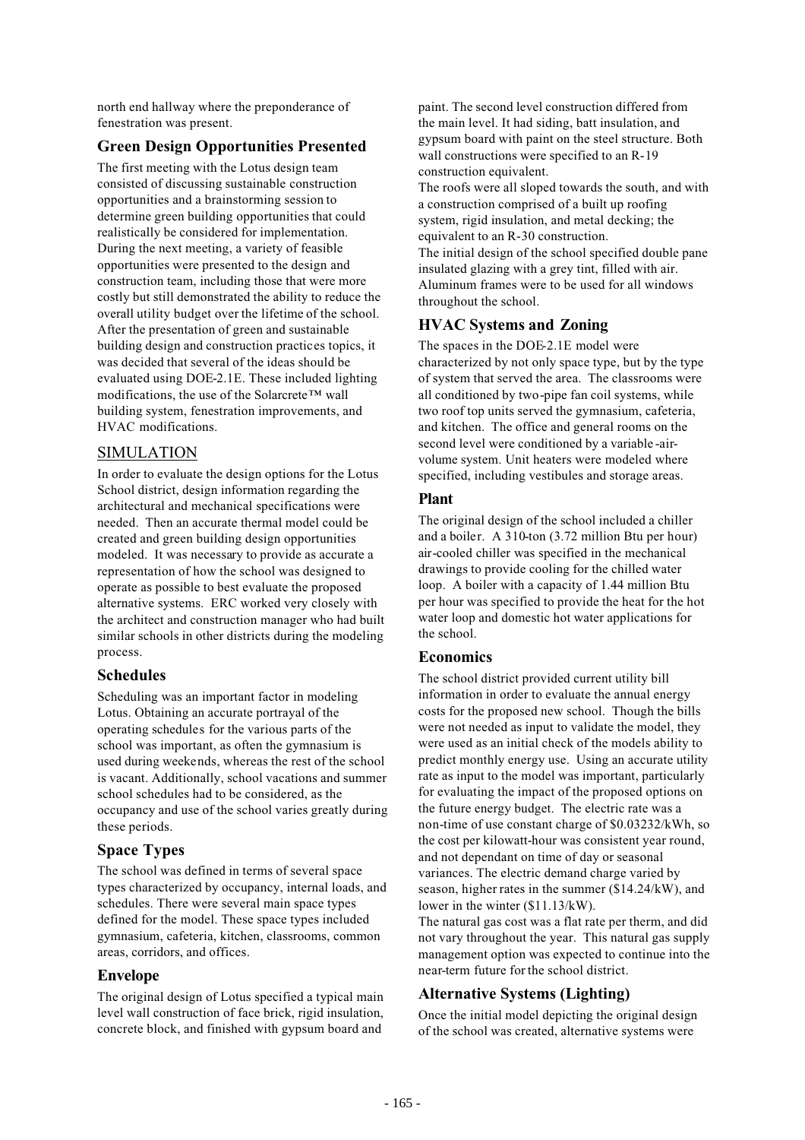north end hallway where the preponderance of fenestration was present.

#### **Green Design Opportunities Presented**

The first meeting with the Lotus design team consisted of discussing sustainable construction opportunities and a brainstorming session to determine green building opportunities that could realistically be considered for implementation. During the next meeting, a variety of feasible opportunities were presented to the design and construction team, including those that were more costly but still demonstrated the ability to reduce the overall utility budget over the lifetime of the school. After the presentation of green and sustainable building design and construction practices topics, it was decided that several of the ideas should be evaluated using DOE-2.1E. These included lighting modifications, the use of the Solarcrete™ wall building system, fenestration improvements, and HVAC modifications.

#### SIMULATION

In order to evaluate the design options for the Lotus School district, design information regarding the architectural and mechanical specifications were needed. Then an accurate thermal model could be created and green building design opportunities modeled. It was necessary to provide as accurate a representation of how the school was designed to operate as possible to best evaluate the proposed alternative systems. ERC worked very closely with the architect and construction manager who had built similar schools in other districts during the modeling process.

#### **Schedules**

Scheduling was an important factor in modeling Lotus. Obtaining an accurate portrayal of the operating schedules for the various parts of the school was important, as often the gymnasium is used during weekends, whereas the rest of the school is vacant. Additionally, school vacations and summer school schedules had to be considered, as the occupancy and use of the school varies greatly during these periods.

#### **Space Types**

The school was defined in terms of several space types characterized by occupancy, internal loads, and schedules. There were several main space types defined for the model. These space types included gymnasium, cafeteria, kitchen, classrooms, common areas, corridors, and offices.

#### **Envelope**

The original design of Lotus specified a typical main level wall construction of face brick, rigid insulation, concrete block, and finished with gypsum board and

paint. The second level construction differed from the main level. It had siding, batt insulation, and gypsum board with paint on the steel structure. Both wall constructions were specified to an R-19 construction equivalent.

The roofs were all sloped towards the south, and with a construction comprised of a built up roofing system, rigid insulation, and metal decking; the equivalent to an R-30 construction.

The initial design of the school specified double pane insulated glazing with a grey tint, filled with air. Aluminum frames were to be used for all windows throughout the school.

## **HVAC Systems and Zoning**

The spaces in the DOE-2.1E model were characterized by not only space type, but by the type of system that served the area. The classrooms were all conditioned by two-pipe fan coil systems, while two roof top units served the gymnasium, cafeteria, and kitchen. The office and general rooms on the second level were conditioned by a variable -airvolume system. Unit heaters were modeled where specified, including vestibules and storage areas.

### **Plant**

The original design of the school included a chiller and a boiler. A 310-ton (3.72 million Btu per hour) air-cooled chiller was specified in the mechanical drawings to provide cooling for the chilled water loop. A boiler with a capacity of 1.44 million Btu per hour was specified to provide the heat for the hot water loop and domestic hot water applications for the school.

#### **Economics**

The school district provided current utility bill information in order to evaluate the annual energy costs for the proposed new school. Though the bills were not needed as input to validate the model, they were used as an initial check of the models ability to predict monthly energy use. Using an accurate utility rate as input to the model was important, particularly for evaluating the impact of the proposed options on the future energy budget. The electric rate was a non-time of use constant charge of \$0.03232/kWh, so the cost per kilowatt-hour was consistent year round, and not dependant on time of day or seasonal variances. The electric demand charge varied by season, higher rates in the summer (\$14.24/kW), and lower in the winter (\$11.13/kW).

The natural gas cost was a flat rate per therm, and did not vary throughout the year. This natural gas supply management option was expected to continue into the near-term future for the school district.

#### **Alternative Systems (Lighting)**

Once the initial model depicting the original design of the school was created, alternative systems were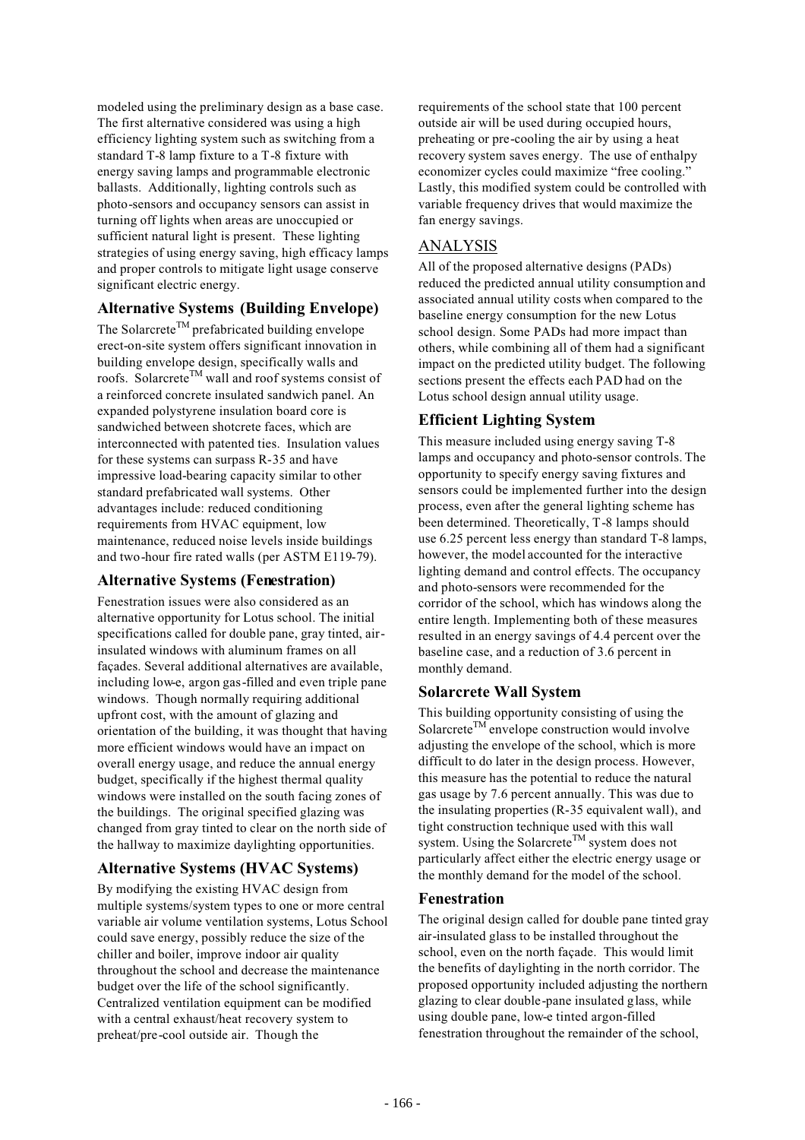modeled using the preliminary design as a base case. The first alternative considered was using a high efficiency lighting system such as switching from a standard T-8 lamp fixture to a T-8 fixture with energy saving lamps and programmable electronic ballasts. Additionally, lighting controls such as photo-sensors and occupancy sensors can assist in turning off lights when areas are unoccupied or sufficient natural light is present. These lighting strategies of using energy saving, high efficacy lamps and proper controls to mitigate light usage conserve significant electric energy.

## **Alternative Systems (Building Envelope)**

The Solarcrete<sup>TM</sup> prefabricated building envelope erect-on-site system offers significant innovation in building envelope design, specifically walls and roofs. Solarcrete<sup>TM</sup> wall and roof systems consist of a reinforced concrete insulated sandwich panel. An expanded polystyrene insulation board core is sandwiched between shotcrete faces, which are interconnected with patented ties. Insulation values for these systems can surpass R-35 and have impressive load-bearing capacity similar to other standard prefabricated wall systems. Other advantages include: reduced conditioning requirements from HVAC equipment, low maintenance, reduced noise levels inside buildings and two-hour fire rated walls (per ASTM E119-79).

#### **Alternative Systems (Fenestration)**

Fenestration issues were also considered as an alternative opportunity for Lotus school. The initial specifications called for double pane, gray tinted, airinsulated windows with aluminum frames on all façades. Several additional alternatives are available, including low-e, argon gas-filled and even triple pane windows. Though normally requiring additional upfront cost, with the amount of glazing and orientation of the building, it was thought that having more efficient windows would have an impact on overall energy usage, and reduce the annual energy budget, specifically if the highest thermal quality windows were installed on the south facing zones of the buildings. The original specified glazing was changed from gray tinted to clear on the north side of the hallway to maximize daylighting opportunities.

#### **Alternative Systems (HVAC Systems)**

By modifying the existing HVAC design from multiple systems/system types to one or more central variable air volume ventilation systems, Lotus School could save energy, possibly reduce the size of the chiller and boiler, improve indoor air quality throughout the school and decrease the maintenance budget over the life of the school significantly. Centralized ventilation equipment can be modified with a central exhaust/heat recovery system to preheat/pre-cool outside air. Though the

requirements of the school state that 100 percent outside air will be used during occupied hours, preheating or pre-cooling the air by using a heat recovery system saves energy. The use of enthalpy economizer cycles could maximize "free cooling." Lastly, this modified system could be controlled with variable frequency drives that would maximize the fan energy savings.

### ANALYSIS

All of the proposed alternative designs (PADs) reduced the predicted annual utility consumption and associated annual utility costs when compared to the baseline energy consumption for the new Lotus school design. Some PADs had more impact than others, while combining all of them had a significant impact on the predicted utility budget. The following sections present the effects each PAD had on the Lotus school design annual utility usage.

## **Efficient Lighting System**

This measure included using energy saving T-8 lamps and occupancy and photo-sensor controls. The opportunity to specify energy saving fixtures and sensors could be implemented further into the design process, even after the general lighting scheme has been determined. Theoretically, T-8 lamps should use 6.25 percent less energy than standard T-8 lamps, however, the model accounted for the interactive lighting demand and control effects. The occupancy and photo-sensors were recommended for the corridor of the school, which has windows along the entire length. Implementing both of these measures resulted in an energy savings of 4.4 percent over the baseline case, and a reduction of 3.6 percent in monthly demand.

#### **Solarcrete Wall System**

This building opportunity consisting of using the Solarcrete<sup>TM</sup> envelope construction would involve adjusting the envelope of the school, which is more difficult to do later in the design process. However, this measure has the potential to reduce the natural gas usage by 7.6 percent annually. This was due to the insulating properties (R-35 equivalent wall), and tight construction technique used with this wall system. Using the Solarcrete<sup>TM</sup> system does not particularly affect either the electric energy usage or the monthly demand for the model of the school.

#### **Fenestration**

The original design called for double pane tinted gray air-insulated glass to be installed throughout the school, even on the north façade. This would limit the benefits of daylighting in the north corridor. The proposed opportunity included adjusting the northern glazing to clear double-pane insulated glass, while using double pane, low-e tinted argon-filled fenestration throughout the remainder of the school,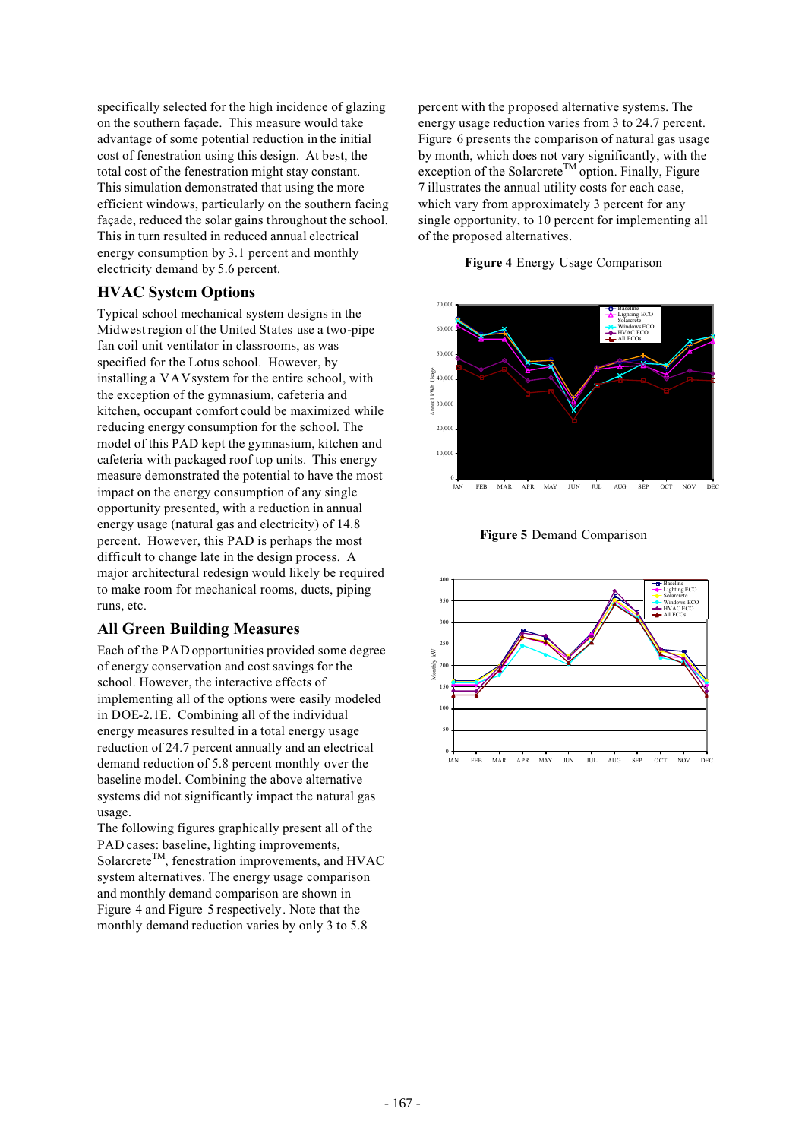specifically selected for the high incidence of glazing on the southern façade. This measure would take advantage of some potential reduction in the initial cost of fenestration using this design. At best, the total cost of the fenestration might stay constant. This simulation demonstrated that using the more efficient windows, particularly on the southern facing façade, reduced the solar gains throughout the school. This in turn resulted in reduced annual electrical energy consumption by 3.1 percent and monthly electricity demand by 5.6 percent.

#### **HVAC System Options**

Typical school mechanical system designs in the Midwest region of the United States use a two-pipe fan coil unit ventilator in classrooms, as was specified for the Lotus school. However, by installing a VAV system for the entire school, with the exception of the gymnasium, cafeteria and kitchen, occupant comfort could be maximized while reducing energy consumption for the school. The model of this PAD kept the gymnasium, kitchen and cafeteria with packaged roof top units. This energy measure demonstrated the potential to have the most impact on the energy consumption of any single opportunity presented, with a reduction in annual energy usage (natural gas and electricity) of 14.8 percent. However, this PAD is perhaps the most difficult to change late in the design process. A major architectural redesign would likely be required to make room for mechanical rooms, ducts, piping runs, etc.

#### **All Green Building Measures**

Each of the PAD opportunities provided some degree of energy conservation and cost savings for the school. However, the interactive effects of implementing all of the options were easily modeled in DOE-2.1E. Combining all of the individual energy measures resulted in a total energy usage reduction of 24.7 percent annually and an electrical demand reduction of 5.8 percent monthly over the baseline model. Combining the above alternative systems did not significantly impact the natural gas usage.

The following figures graphically present all of the PAD cases: baseline, lighting improvements, Solarcrete<sup>TM</sup>, fenestration improvements, and HVAC system alternatives. The energy usage comparison and monthly demand comparison are shown in Figure 4 and Figure 5 respectively. Note that the monthly demand reduction varies by only 3 to 5.8

percent with the proposed alternative systems. The energy usage reduction varies from 3 to 24.7 percent. Figure 6 presents the comparison of natural gas usage by month, which does not vary significantly, with the exception of the Solarcrete<sup>TM</sup> option. Finally, Figure 7 illustrates the annual utility costs for each case, which vary from approximately 3 percent for any single opportunity, to 10 percent for implementing all of the proposed alternatives.

#### **Figure 4** Energy Usage Comparison



**Figure 5** Demand Comparison

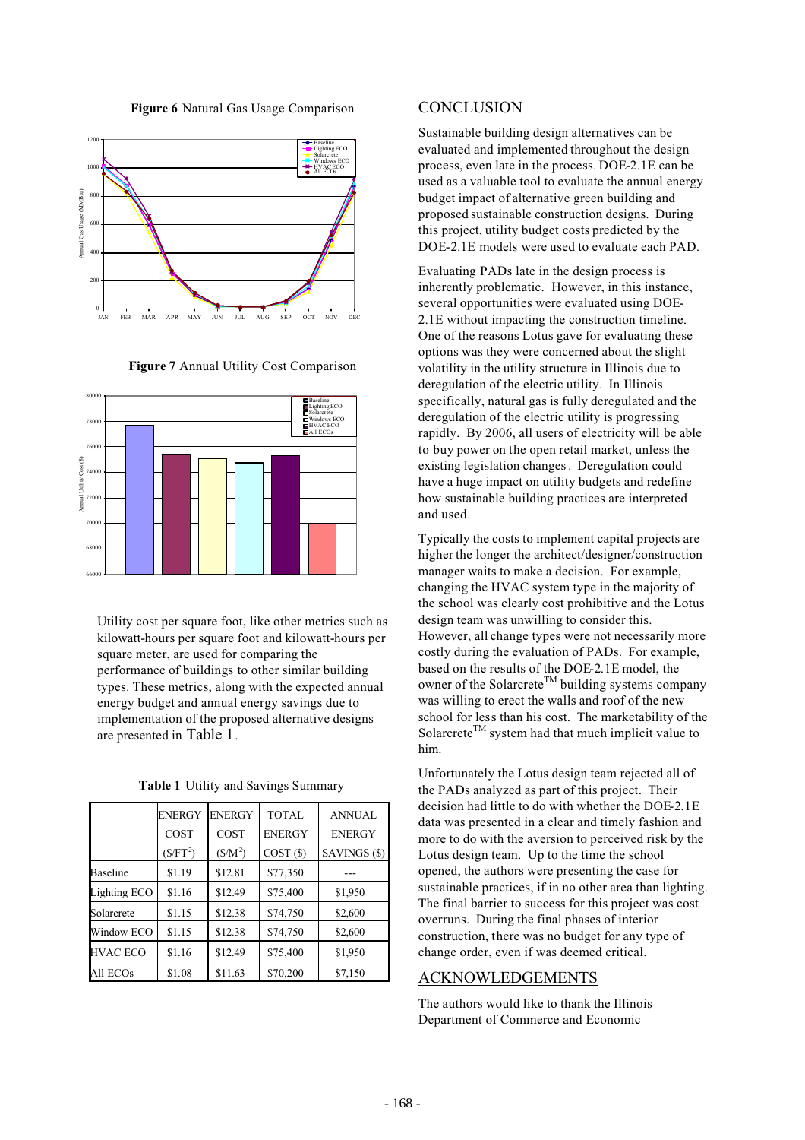



**Figure 7** Annual Utility Cost Comparison



Utility cost per square foot, like other metrics such as kilowatt-hours per square foot and kilowatt-hours per square meter, are used for comparing the performance of buildings to other similar building types. These metrics, along with the expected annual energy budget and annual energy savings due to implementation of the proposed alternative designs are presented in Table 1.

|                 | <b>ENERGY</b>                  | <b>ENERGY</b> | TOTAL         | <b>ANNUAL</b> |
|-----------------|--------------------------------|---------------|---------------|---------------|
|                 | COST                           | COST          | <b>ENERGY</b> | <b>ENERGY</b> |
|                 | $(\frac{\mathcal{S}}{\Gamma})$ | $(S/M^2)$     | COST(S)       | SAVINGS (\$)  |
| Baseline        | \$1.19                         | \$12.81       | \$77,350      |               |
| Lighting ECO    | \$1.16                         | \$12.49       | \$75,400      | \$1,950       |
| Solarcrete      | \$1.15                         | \$12.38       | \$74,750      | \$2,600       |
| Window ECO      | \$1.15                         | \$12.38       | \$74,750      | \$2,600       |
| <b>HVAC ECO</b> | \$1.16                         | \$12.49       | \$75,400      | \$1,950       |
| All ECOs        | \$1.08                         | \$11.63       | \$70,200      | \$7,150       |

#### **CONCLUSION**

Sustainable building design alternatives can be evaluated and implemented throughout the design process, even late in the process. DOE-2.1E can be used as a valuable tool to evaluate the annual energy budget impact of alternative green building and proposed sustainable construction designs. During this project, utility budget costs predicted by the DOE-2.1E models were used to evaluate each PAD.

Evaluating PADs late in the design process is inherently problematic. However, in this instance, several opportunities were evaluated using DOE-2.1E without impacting the construction timeline. One of the reasons Lotus gave for evaluating these options was they were concerned about the slight volatility in the utility structure in Illinois due to deregulation of the electric utility. In Illinois specifically, natural gas is fully deregulated and the deregulation of the electric utility is progressing rapidly. By 2006, all users of electricity will be able to buy power on the open retail market, unless the existing legislation changes . Deregulation could have a huge impact on utility budgets and redefine how sustainable building practices are interpreted and used.

Typically the costs to implement capital projects are higher the longer the architect/designer/construction manager waits to make a decision. For example, changing the HVAC system type in the majority of the school was clearly cost prohibitive and the Lotus design team was unwilling to consider this. However, all change types were not necessarily more costly during the evaluation of PADs. For example, based on the results of the DOE-2.1E model, the owner of the Solarcrete<sup>TM</sup> building systems company was willing to erect the walls and roof of the new school for less than his cost. The marketability of the Solarcrete<sup>TM</sup> system had that much implicit value to him.

Unfortunately the Lotus design team rejected all of the PADs analyzed as part of this project. Their decision had little to do with whether the DOE-2.1E data was presented in a clear and timely fashion and more to do with the aversion to perceived risk by the Lotus design team. Up to the time the school opened, the authors were presenting the case for sustainable practices, if in no other area than lighting. The final barrier to success for this project was cost overruns. During the final phases of interior construction, there was no budget for any type of change order, even if was deemed critical.

#### ACKNOWLEDGEMENTS

The authors would like to thank the Illinois Department of Commerce and Economic